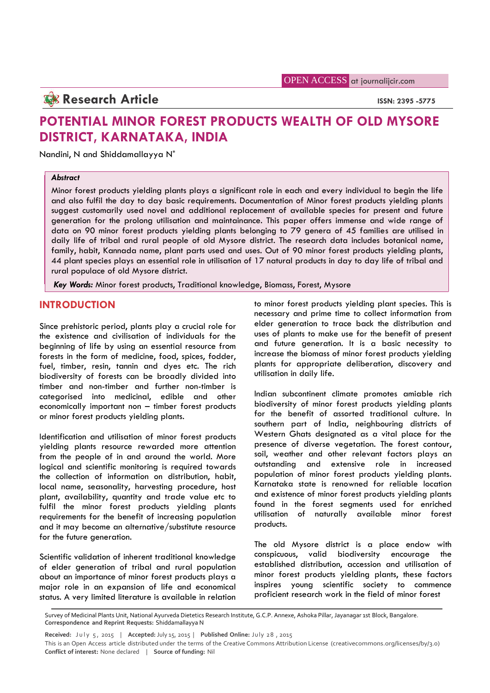# **Research Article ISSN: 2395 -5775**

# **POTENTIAL MINOR FOREST PRODUCTS WEALTH OF OLD MYSORE DISTRICT, KARNATAKA, INDIA**

Nandini, N and Shiddamallayya N\*

## *Abstract*

Minor forest products yielding plants plays a significant role in each and every individual to begin the life and also fulfil the day to day basic requirements. Documentation of Minor forest products yielding plants suggest customarily used novel and additional replacement of available species for present and future generation for the prolong utilisation and maintainance. This paper offers immense and wide range of data on 90 minor forest products yielding plants belonging to 79 genera of 45 families are utilised in daily life of tribal and rural people of old Mysore district. The research data includes botanical name, family, habit, Kannada name, plant parts used and uses. Out of 90 minor forest products yielding plants, 44 plant species plays an essential role in utilisation of 17 natural products in day to day life of tribal and rural populace of old Mysore district.

*Key Words:* Minor forest products, Traditional knowledge, Biomass, Forest, Mysore

## **INTRODUCTION**

Since prehistoric period, plants play a crucial role for the existence and civilisation of individuals for the beginning of life by using an essential resource from forests in the form of medicine, food, spices, fodder, fuel, timber, resin, tannin and dyes etc. The rich biodiversity of forests can be broadly divided into timber and non-timber and further non-timber is categorised into medicinal, edible and other economically important non – timber forest products or minor forest products yielding plants.

Identification and utilisation of minor forest products yielding plants resource rewarded more attention from the people of in and around the world. More logical and scientific monitoring is required towards the collection of information on distribution, habit, local name, seasonality, harvesting procedure, host plant, availability, quantity and trade value etc to fulfil the minor forest products yielding plants requirements for the benefit of increasing population and it may become an alternative/substitute resource for the future generation.

Scientific validation of inherent traditional knowledge of elder generation of tribal and rural population about an importance of minor forest products plays a major role in an expansion of life and economical status. A very limited literature is available in relation to minor forest products yielding plant species. This is necessary and prime time to collect information from elder generation to trace back the distribution and uses of plants to make use for the benefit of present and future generation. It is a basic necessity to increase the biomass of minor forest products yielding plants for appropriate deliberation, discovery and utilisation in daily life.

Indian subcontinent climate promotes amiable rich biodiversity of minor forest products yielding plants for the benefit of assorted traditional culture. In southern part of India, neighbouring districts of Western Ghats designated as a vital place for the presence of diverse vegetation. The forest contour, soil, weather and other relevant factors plays an outstanding and extensive role in increased population of minor forest products yielding plants. Karnataka state is renowned for reliable location and existence of minor forest products yielding plants found in the forest segments used for enriched utilisation of naturally available minor forest products.

The old Mysore district is a place endow with conspicuous, valid biodiversity encourage the established distribution, accession and utilisation of minor forest products yielding plants, these factors inspires young scientific society to commence proficient research work in the field of minor forest

Survey of Medicinal Plants Unit, National Ayurveda Dietetics Research Institute, G.C.P. Annexe, Ashoka Pillar, Jayanagar 1st Block, Bangalore. **Correspondence and Reprint Requests:** Shiddamallayya N **Received:** July 5, 2015 | **Accepted:** July 15, 2015 | **Published Online:** July 28, 2015 <br> **Received:** July 15, 2015 | **Accepted:** July 15, 2015 | **Published Online:** July 28, 2015 <br>
This is an Open Access article distribu

This is an Open Access article distributed under the terms of the Creative Commons Attribution License (creativecommons.org/licenses/by/3.0) **Conflict of interest:** None declared | **Source of funding:** Nil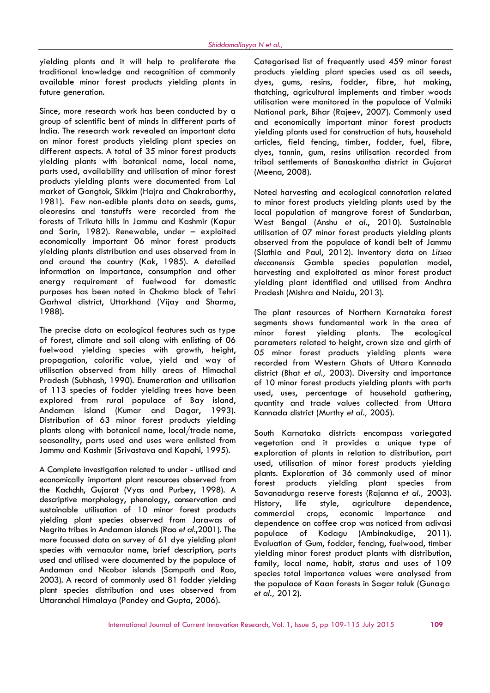yielding plants and it will help to proliferate the traditional knowledge and recognition of commonly available minor forest products yielding plants in future generation.

Since, more research work has been conducted by a group of scientific bent of minds in different parts of India. The research work revealed an important data on minor forest products yielding plant species on different aspects. A total of 35 minor forest products yielding plants with botanical name, local name, parts used, availability and utilisation of minor forest products yielding plants were documented from Lal market of Gangtok, Sikkim (Hajra and Chakraborthy, 1981). Few non-edible plants data on seeds, gums, oleoresins and tanstuffs were recorded from the forests of Trikuta hills in Jammu and Kashmir (Kapur and Sarin, 1982). Renewable, under – exploited economically important 06 minor forest products yielding plants distribution and uses observed from in and around the country (Kak, 1985). A detailed information on importance, consumption and other energy requirement of fuelwood for domestic purposes has been noted in Chakma block of Tehri Garhwal district, Uttarkhand (Vijay and Sharma, 1988).

The precise data on ecological features such as type  $\frac{1}{2}$  minor of forest, climate and soil along with enlisting of 06 fuelwood yielding species with growth, height, propagation, calorific value, yield and way of utilisation observed from hilly areas of Himachal Pradesh (Subhash, 1990). Enumeration and utilisation of 113 species of fodder yielding trees have been explored from rural populace of Bay island, Andaman island (Kumar and Dagar, 1993). Distribution of 63 minor forest products yielding plants along with botanical name, local/trade name, seasonality, parts used and uses were enlisted from Jammu and Kashmir (Srivastava and Kapahi, 1995).

A Complete investigation related to under - utilised and economically important plant resources observed from the Kachchh, Gujarat (Vyas and Purbey, 1998). A descriptive morphology, phenology, conservation and History, sustainable utilisation of 10 minor forest products commercial yielding plant species observed from Jarawas of Negrito tribes in Andaman islands (Rao *et al.*,2001). The more focussed data on survey of 61 dye yielding plant species with vernacular name, brief description, parts used and utilised were documented by the populace of Andaman and Nicobar islands (Sampath and Rao, 2003). A record of commonly used 81 fodder yielding plant species distribution and uses observed from Uttaranchal Himalaya (Pandey and Gupta, 2006).

Categorised list of frequently used 459 minor forest products yielding plant species used as oil seeds, dyes, gums, resins, fodder, fibre, hut making, thatching, agricultural implements and timber woods utilisation were monitored in the populace of Valmiki National park, Bihar (Rajeev, 2007). Commonly used and economically important minor forest products yielding plants used for construction of huts, household articles, field fencing, timber, fodder, fuel, fibre, dyes, tannin, gum, resins utilisation recorded from tribal settlements of Banaskantha district in Gujarat (Meena, 2008).

Noted harvesting and ecological connotation related to minor forest products yielding plants used by the local population of mangrove forest of Sundarban, West Bengal (Anshu *et al.*, 2010). Sustainable utilisation of 07 minor forest products yielding plants observed from the populace of kandi belt of Jammu (Slathia and Paul, 2012). Inventory data on *Litsea deccanensis* Gamble species population model, harvesting and exploitated as minor forest product yielding plant identified and utilised from Andhra Pradesh (Mishra and Naidu, 2013).

The plant resources of Northern Karnataka forest segments shows fundamental work in the area of forest yielding plants. The ecological parameters related to height, crown size and girth of 05 minor forest products yielding plants were recorded from Western Ghats of Uttara Kannada district (Bhat *et al.,* 2003). Diversity and importance of 10 minor forest products yielding plants with parts used, uses, percentage of household gathering, quantity and trade values collected from Uttara Kannada district (Murthy *et al.,* 2005).

South Karnataka districts encompass variegated vegetation and it provides a unique type of exploration of plants in relation to distribution, part used, utilisation of minor forest products yielding plants. Exploration of 36 commonly used of minor forest products yielding plant species from Savanadurga reserve forests (Rajanna *et al.,* 2003). life style, agriculture dependence, crops, economic importance and dependence on coffee crop was noticed from adivasi populace of Kodagu (Ambinakudige, 2011). Evaluation of Gum, fodder, fencing, fuelwood, timber yielding minor forest product plants with distribution, family, local name, habit, status and uses of 109 species total importance values were analysed from the populace of Kaan forests in Sagar taluk (Gunaga *et al.,* 2012).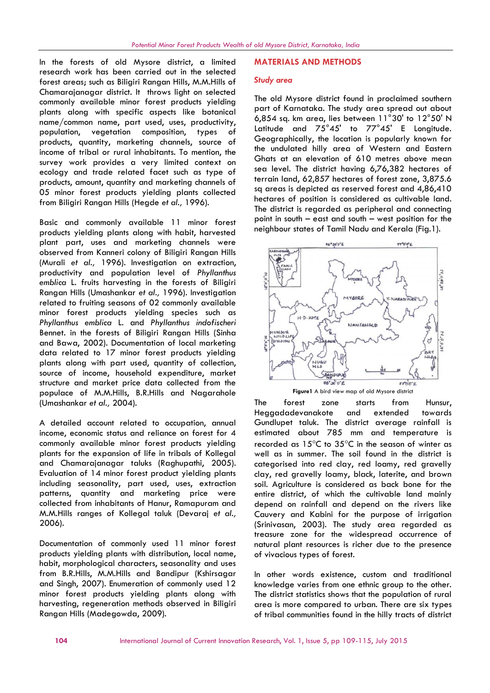In the forests of old Mysore district, a limited research work has been carried out in the selected forest areas; such as Biligiri Rangan Hills, M.M.Hills of Chamarajanagar district. It throws light on selected commonly available minor forest products yielding plants along with specific aspects like botanical name/common name, part used, uses, productivity, population, vegetation composition, types of products, quantity, marketing channels, source of income of tribal or rural inhabitants. To mention, the survey work provides a very limited context on ecology and trade related facet such as type of products, amount, quantity and marketing channels of 05 minor forest products yielding plants collected from Biligiri Rangan Hills (Hegde *et al.,* 1996).

Basic and commonly available 11 minor forest products yielding plants along with habit, harvested plant part, uses and marketing channels were observed from Kanneri colony of Biligiri Rangan Hills (Murali *et al.,* 1996). Investigation on extraction, productivity and population level of *Phyllanthus emblica* L. fruits harvesting in the forests of Biligiri Rangan Hills (Umashankar *et al.,* 1996). Investigation related to fruiting seasons of 02 commonly available minor forest products yielding species such as *Phyllanthus emblica* L. and *Phyllanthus indofischeri* Bennet. in the forests of Biligiri Rangan Hills (Sinha and Bawa, 2002). Documentation of local marketing data related to 17 minor forest products yielding plants along with part used, quantity of collection, source of income, household expenditure, market structure and market price data collected from the populace of M.M.Hills, B.R.Hills and Nagarahole (Umashankar *et al.,* 2004).

A detailed account related to occupation, annual income, economic status and reliance on forest for 4 commonly available minor forest products yielding plants for the expansion of life in tribals of Kollegal and Chamarajanagar taluks (Raghupathi, 2005). Evaluation of 14 minor forest product yielding plants including seasonality, part used, uses, extraction patterns, quantity and marketing price were collected from inhabitants of Hanur, Ramapuram and M.M.Hills ranges of Kollegal taluk (Devaraj *et al.,* 2006).

Documentation of commonly used 11 minor forest products yielding plants with distribution, local name, habit, morphological characters, seasonality and uses from B.R.Hills, M.M.Hills and Bandipur (Kshirsagar and Singh, 2007). Enumeration of commonly used 12 minor forest products yielding plants along with harvesting, regeneration methods observed in Biligiri Rangan Hills (Madegowda, 2009).

#### **MATERIALS AND METHODS**

#### *Study area*

The old Mysore district found in proclaimed southern part of Karnataka. The study area spread out about 6,854 sq. km area, lies between 11°30' to 12°50' N Latitude and 75°45' to 77°45' E Longitude. Geographically, the location is popularly known for the undulated hilly area of Western and Eastern Ghats at an elevation of 610 metres above mean sea level. The district having 6,76,382 hectares of terrain land, 62,857 hectares of forest zone, 3,875.6 sq areas is depicted as reserved forest and 4,86,410 hectares of position is considered as cultivable land. The district is regarded as peripheral and connecting point in south – east and south – west position for the neighbour states of Tamil Nadu and Kerala (Fig.1).



The forest zone starts from Hunsur, Heggadadevanakote and extended towards Gundlupet taluk. The district average rainfall is estimated about 785 mm and temperature is recorded as  $15^{\circ}$ C to  $35^{\circ}$ C in the season of winter as well as in summer. The soil found in the district is categorised into red clay, red loamy, red gravelly clay, red gravelly loamy, black, laterite, and brown soil. Agriculture is considered as back bone for the entire district, of which the cultivable land mainly depend on rainfall and depend on the rivers like Cauvery and Kabini for the purpose of irrigation (Srinivasan, 2003). The study area regarded as treasure zone for the widespread occurrence of natural plant resources is richer due to the presence of vivacious types of forest.

In other words existence, custom and traditional knowledge varies from one ethnic group to the other. The district statistics shows that the population of rural area is more compared to urban. There are six types of tribal communities found in the hilly tracts of district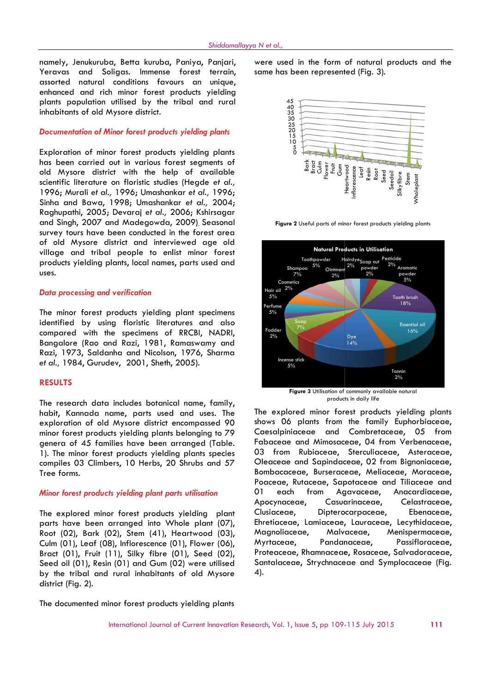namely, Jenukuruba, Betta kuruba, Paniya, Panjari, Yeravas and Soligas. Immense forest terrain, assorted natural conditions favours an unique, enhanced and rich minor forest products yielding plants population utilised by the tribal and rural inhabitants of old Mysore district.

### *Documentation of Minor forest products yielding plants*

Exploration of minor forest products yielding plants has been carried out in various forest segments of old Mysore district with the help of available scientific literature on floristic studies (Hegde *et al.,* 1996; Murali *et al.,* 1996; Umashankar *et al.,* 1996; Sinha and Bawa, 1998; Umashankar *et al.,* 2004; Raghupathi, 2005; Devaraj *et al.,* 2006; Kshirsagar and Singh, 2007 and Madegowda, 2009). Seasonal survey tours have been conducted in the forest area of old Mysore district and interviewed age old village and tribal people to enlist minor forest products yielding plants, local names, parts used and uses. now here the through the control of the control of the control of the method in the state of the control of the method in the method of the method of the method of the method of the method of the method of the method of th nomposition), Botanical families been the minimized properties of families between 1 and the families from the internet of families been the control of the species of the families been the control of the species of the sp

#### *Data processing and verification*

The minor forest products yielding plant specimens identified by using floristic literatures and also compared with the specimens of RRCBI, NADRI, Bangalore (Rao and Razi, 1981, Ramaswamy and Razi, 1973, Saldanha and Nicolson, 1976, Sharma *et al.,* 1984, Gurudev, 2001, Sheth, 2005).

### **RESULTS**

The research data includes botanical name, family, habit, Kannada name, parts used and uses. The exploration of old Mysore district encompassed 90 minor forest products yielding plants belonging to 79 genera of 45 families have been arranged (Table. 1). The minor forest products yielding plants species compiles 03 Climbers, 10 Herbs, 20 Shrubs and 57 Tree forms.

#### *Minor forest products yielding plant parts utilisation*

The explored minor forest products yielding plant Clusiaceae, parts have been arranged into Whole plant (07), Root (02), Bark (02), Stem (41), Heartwood (03), Culm (01), Leaf (08), Inflorescence (01), Flower (06), Bract (01), Fruit (11), Silky fibre (01), Seed (02), Seed oil (01), Resin (01) and Gum (02) were utilised by the tribal and rural inhabitants of old Mysore district (Fig. 2).

were used in the form of natural products and the same has been represented (Fig. 3).



**Figure 2** Useful parts of minor forest products yielding plants



products in daily life

The explored minor forest products yielding plants shows 06 plants from the family Euphorbiaceae, Caesalpiniaceae and Combretaceae, 05 from Fabaceae and Mimosaceae, 04 from Verbenaceae, 03 from Rubiaceae, Sterculiaceae, Asteraceae, Oleaceae and Sapindaceae, 02 from Bignoniaceae, Fabaceae and Mimosaceae, 04 from Verbenaceae,<br>03 from Rubiaceae, Sterculiaceae, Asteraceae,<br>Oleaceae and Sapindaceae, 02 from Bignoniaceae,<br>Bombacaceae, Burseraceae, Meliaceae, Moraceae, Poaceae, Rutaceae, Sapotaceae and Tiliaceae and 01 each from Agavaceae, Anacardiaceae, Casuarinaceae, Celastraceae, Dipterocarpaceae, Ebenaceae, Ehretiaceae, Lamiaceae, Lauraceae, Lecythidaceae, Magnoliaceae, Malvaceae, Menispermaceae, Myrtaceae, Pandanaceae, Passifloraceae, Proteaceae, Rhamnaceae, Rosaceae, Salvadoraceae, Santalaceae, Strychnaceae and Symplocaceae (Fig. 4). numeric ), the minimization of the two states in the minimization control in the minimization of the research of the research of the research of the research of the research of the research of the research of the research Agavaceae. Apocynaceae,

The documented minor forest products yielding plants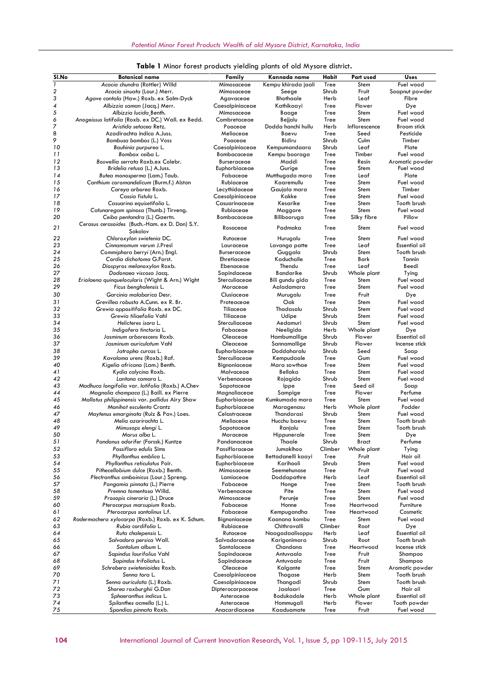| Sl.No                   | <b>Botanical name</b>                                                       | Family                        | Kannada name                  | Habit        | Part used           | <b>Uses</b>          |
|-------------------------|-----------------------------------------------------------------------------|-------------------------------|-------------------------------|--------------|---------------------|----------------------|
| 1                       | Acacia chundra (Rottler) Willd                                              | Mimosaceae                    | Kempu khirada jaali           | Tree         | Stem                | Fuel wood            |
| $\overline{\mathbf{c}}$ | Acacia sinuata (Lour.) Merr.                                                | Mimosaceae                    | Seege                         | Shrub        | Fruit               | Soapnut powder       |
| 3                       | Agave cantala (Haw.) Roxb. ex Salm-Dyck                                     | Agavaceae                     | <b>Bhothaale</b>              | Herb         | Leaf                | Fibre                |
| 4                       | Albizzia saman (Jacq.) Merr.                                                | Caesalpiniaceae               | Kathikaayi                    | Tree         | Flower              | Dye                  |
| 5                       | Albizzia lucida Benth.                                                      | Mimosaceae                    | Baage                         | Tree         | Stem                | Fuel wood            |
| 6                       | Anogeissus latifolia (Roxb. ex DC.) Wall. ex Bedd.                          | Combretaceae                  | Bejjalu                       | Tree         | Stem                | Fuel wood            |
| 7                       | Aristida setacea Retz.                                                      | Poaceae                       | Dodda hanchi hullu            | Herb         | Inflorescence       | Broom stick          |
| 8                       | Azadirachta indica A.Juss.                                                  | Meliaceae                     | Baevu                         | Tree         | Seed                | Pesticide            |
| 9                       | Bambusa bambos (L.) Voss                                                    | Poaceae                       | Bidiru                        | Shrub        | Culm                | Timber               |
| 10                      | Bauhinia purpurea L.                                                        | Caesalpiniaceae               | Kempumandaara                 | Shrub        | Leaf                | Plate                |
| 11                      | Bombax ceiba L.                                                             | Bombacaceae                   | Kempu booraga                 | Tree         | Timber              | Fuel wood            |
| 12<br>13                | Boswellia serrata Roxb.ex Colebr.                                           | Burseraceae<br>Euphorbiaceae  | Maddi                         | Tree         | Resin               | Aromatic powder      |
| 14                      | Bridelia retusa (L.) A.Juss.                                                | Fabaceae                      | Gurige                        | Tree         | Stem                | Fuel wood<br>Plate   |
| 15                      | Butea monosperma (Lam.) Taub.<br>Canthium coromandelicum (Burm.f.) Alston   | Rubiaceae                     | Mutthugada mara<br>Kaaremullu | Tree<br>Tree | Leaf<br>Stem        | Fuel wood            |
| 16                      | Careya arborea Roxb.                                                        | Lecythidaceae                 | Gaujala mara                  | Tree         | Stem                | Timber               |
| 17                      | Cassia fistula L.                                                           | Caesalpiniaceae               | Kakke                         | Tree         | Stem                | Fuel wood            |
| 18                      | Casuarina equisetifolia L.                                                  | Casuarinaceae                 | Kesarike                      | Tree         | Stem                | Tooth brush          |
| 19                      | Catunaregam spinosa (Thunb.) Tirveng.                                       | Rubiaceae                     | Maggare                       | Tree         | Stem                | Fuel wood            |
| 20                      | Ceiba pentandra (L.) Gaertn.                                                | Bombacaceae                   | Bilibooruga                   | Tree         | Silky fibre         | Pillow               |
| 21                      | Cerasus cerasoides (Buch.-Ham. ex D. Don) S.Y.<br>Sokolov                   | Rosaceae                      | Padmaka                       | Tree         | Stem                | Fuel wood            |
| 22                      | Chloroxylon swietenia DC.                                                   | Rutaceae                      | Hurugalu                      | Tree         | Stem                | Fuel wood            |
| 23                      | Cinnamomum verum J.Presl                                                    | Lauraceae                     | Lavanga patte                 | Tree         | Leaf                | Essential oil        |
| 24                      | Commiphora berryi (Arn.) Engl.                                              | Burseraceae                   | Guggala                       | Shrub        | Stem                | Tooth brush          |
| 25                      | Cordia dichotoma G.Forst.                                                   | Ehretiaceae                   | Kaduchalle                    | Tree         | Bark                | Tannin               |
| 26                      | Diospyros melanoxylon Roxb.                                                 | Ebenaceae                     | Thendu                        | Tree         | Leaf                | Beedi                |
| 27                      | Dodonaea viscosa Jacq.                                                      | Sapindaceae                   | <b>Bandarike</b>              | Shrub        | Whole plant         | Tying                |
| 28                      | Eriolaena quinquelocularis (Wight & Arn.) Wight                             | Sterculiaceae                 | Bili gundu gida               | Tree         | Stem                | Fuel wood            |
| 29                      | Ficus benghalensis L.                                                       | Moraceae                      | Aaladamara                    | Tree         | Stem                | Fuel wood            |
| 30                      | Garcinia malabarica Desr.                                                   | Clusiaceae                    | Murugalu                      | Tree         | Fruit               | Dye                  |
| 31                      | Grevillea robusta A.Cunn. ex R. Br.                                         | Proteaceae                    | Oak                           | Tree         | Stem                | Fuel wood            |
| 32                      | Grewia oppositifolia Roxb. ex DC.                                           | Tiliaceae                     | Thadasalu                     | Shrub        | Stem                | Fuel wood            |
| 33                      | Grewia tiliaefolia Vahl                                                     | Tiliaceae                     | Udipe                         | Shrub        | Stem                | Fuel wood            |
| 34                      | Helicteres isora L.                                                         | Sterculiaceae                 | Aedamuri                      | Shrub        | Stem                | Fuel wood            |
| 35                      | Indigofera tinctoria L.                                                     | Fabaceae                      | Neeligida                     | Herb         | Whole plant         | Dye                  |
| 36                      | Jasminum arborescens Roxb.                                                  | Oleaceae                      | Hambumallige                  | Shrub        | Flower              | Essential oil        |
| 37                      | Jasminum auriculatum Vahl                                                   | Oleaceae                      | Sannamallige                  | Shrub        | Flower              | Incense stick        |
| 38                      | Jatropha curcas L.                                                          | Euphorbiaceae                 | Doddaharalu                   | Shrub        | Seed                | Soap                 |
| 39                      | Kavalama urens (Roxb.) Raf.                                                 | Sterculiaceae                 | Kempudaale                    | Tree         | Gum                 | Fuel wood            |
| 40                      | Kigelia africana (Lam.) Benth.                                              | Bignoniaceae                  | Mara sowthae                  | Tree         | Stem                | Fuel wood            |
| 41                      | Kydia calycina Roxb.                                                        | Malvaceae                     | Bellaka                       | Tree         | Stem                | Fuel wood            |
| 42                      | Lantana camara L.                                                           | Verbenaceae                   | Rojagida                      | Shrub        | Stem                | Fuel wood            |
| 43                      | Madhuca longifolia var. latifolia (Roxb.) A.Chev                            | Sapotaceae                    | Ippe                          | Tree         | Seed oil            | Soap                 |
| 44                      | Magnolia champaca (L.) Baill. ex Pierre                                     | Magnoliaceae<br>Euphorbiaceae | Sampige                       | Tree         | Flower              | Perfume<br>Fuel wood |
| 45                      | Mallotus philippinensis var. pallidus Airy Shaw<br>Manihot esculenta Crantz |                               | Kumkumada mara                | Tree<br>Herb | Stem<br>Whole plant | Fodder               |
| 46<br>47                | Maytenus emarginata (Ruiz & Pav.) Loes.                                     | Euphorbiaceae<br>Celastraceae | Maragenasu<br>Thandarasi      | Shrub        | Stem                | Fuel wood            |
| 48                      | Melia azarirachta L.                                                        | Meliaceae                     | Hucchu baevu                  | Tree         | Stem                | Tooth brush          |
| 49                      | Mimusops elengi L.                                                          | Sapotaceae                    | Ranjalu                       | Tree         | Stem                | Tooth brush          |
| 50                      | Morus alba L.                                                               | Moraceae                      | Hippunerale                   | Tree         | Stem                | Dye                  |
| 51                      | Pandanus odorifer (Forssk.) Kuntze                                          | Pandanaceae                   | Thaale                        | Shrub        | Bract               | Perfume              |
| 52                      | Passiflora edulis Sims                                                      | Passifloraceae                | Jumakihoo                     | Climber      | Whole plant         | Tying                |
| 53                      | Phyllanthus emblica L.                                                      | Euphorbiaceae                 | Bettadanelli kaayi            | Tree         | Fruit               | Hair oil             |
| 54                      | Phyllanthus reticulatus Poir.                                               | Euphorbiaceae                 | Karihooli                     | Shrub        | Stem                | Fuel wood            |
| 55                      | Pithecellobium dulce (Roxb.) Benth.                                         | Mimosaceae                    | Seemehunase                   | Tree         | Fruit               | Fuel wood            |
| 56                      | Plectranthus amboinicus (Lour.) Spreng.                                     | Lamiaceae                     | Doddapathre                   | Herb         | Leaf                | Essential oil        |
| 57                      | Pongamia pinnata (L.) Pierre                                                | Fabaceae                      | Honge                         | Tree         | Stem                | Tooth brush          |
| 58                      | Premna tomentosa Willd.                                                     | Verbenaceae                   | Pite                          | Tree         | Stem                | Fuel wood            |
| 59                      | Prosopis cineraria (L.) Druce                                               | Mimosaceae                    | Perunje                       | Tree         | Stem                | Fuel wood            |
| 60                      | Pterocarpus marsupium Roxb.                                                 | Fabaceae                      | Honne                         | Tree         | Heartwood           | Furniture            |
| 61                      | Pterocarpus santalinus L.f.                                                 | Fabaceae                      | Kempugandha                   | Tree         | Heartwood           | Cosmetic             |
| 62                      | Radermachera xylocarpa (Roxb.) Roxb. ex K. Schum.                           | Bignoniaceae                  | Kaanana kombu                 | Tree         | Stem                | Fuel wood            |
| 63                      | Rubia cordifolia L.                                                         | Rubiaceae                     | Chithravalli                  | Climber      | Root                | Dye                  |
| 64                      | Ruta chalepensis L.                                                         | Rutaceae                      | Naagadaalisoppu               | Herb         | Leaf                | Essential oil        |
| 65                      | Salvadora persica Wall.                                                     | Salvadoraceae                 | Karigonimara                  | Shrub        | Root                | Tooth brush          |
| 66                      | Santalum album L.                                                           | Santalaceae                   | Chandana                      | Tree         | Heartwood           | Incense stick        |
| 67                      | Sapindus laurifolius Vahl                                                   | Sapindaceae                   | Antuvaala                     | Tree         | Fruit               | Shampoo              |
| 68                      | Sapindus trifoliatus L.                                                     | Sapindaceae                   | Antuvaala                     | Tree         | Fruit               | Shampoo              |
| 69                      | Schrebera swietenioides Roxb.                                               | Oleaceae                      | Kalgante                      | Tree         | Stem                | Aromatic powder      |
| 70                      | Senna tora L.                                                               | Caesalpiniaceae               | Thagase                       | Herb         | Stem                | Tooth brush          |
| 71                      | Senna auriculata (L.) Roxb.                                                 | Caesalpiniaceae               | Thangadi                      | Shrub        | Stem                | Tooth brush          |
| 72                      | Shorea roxburghii G.Don                                                     | Dipterocarpaceae              | Jaalaari                      | Tree         | Gum                 | Hair oil             |
| 73                      | Sphaeranthus indicus L.                                                     | Asteraceae                    | Bodukadale                    | Herb         | Whole plant         | Essential oil        |
| 74                      | Spilanthes acmella (L.) L.                                                  | Asteraceae                    | Hommugali                     | Herb         | Flower              | Tooth powder         |
| 75                      | Spondias pinnata Roxb.                                                      | Anacardiaceae                 | Kaaduamate                    | Tree         | Fruit               | Fuel wood            |

|  |  |  | Table 1 Minor forest products yielding plants of old Mysore district. |  |  |  |  |  |  |
|--|--|--|-----------------------------------------------------------------------|--|--|--|--|--|--|
|--|--|--|-----------------------------------------------------------------------|--|--|--|--|--|--|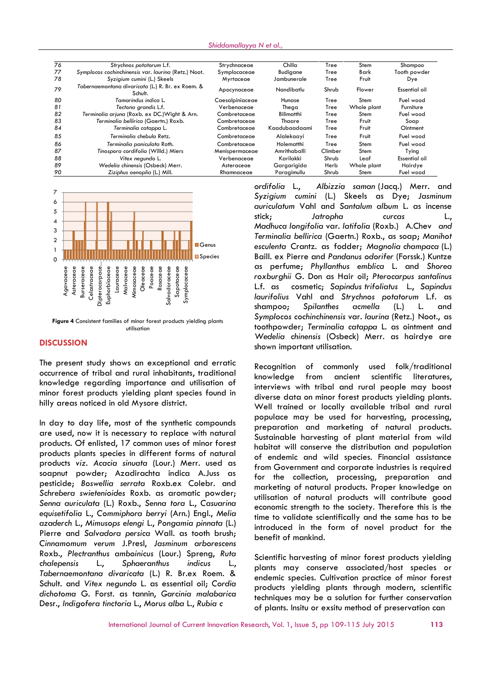| 76 | Strychnos potatorum L.f.                                     | Strychnaceae    | Chilla            | Tree    | Stem        | Shampoo       |
|----|--------------------------------------------------------------|-----------------|-------------------|---------|-------------|---------------|
| 77 | Symplocos cochinchinensis var. laurina (Retz.) Noot.         | Symplocaceae    | Budigane          | Tree    | Bark        | Tooth powder  |
| 78 | Syzigium cumini (L.) Skeels                                  | Myrtaceae       | Jambunerale       | Tree    | Fruit       | Dye           |
| 79 | Tabernaemontana divaricata (L.) R. Br. ex Roem. &<br>Schult. | Apocynaceae     | Nandibatlu        | Shrub   | Flower      | Essential oil |
| 80 | Tamarindus indica L.                                         | Caesalpiniaceae | Hunase            | Tree    | Stem        | Fuel wood     |
| 81 | Tectona grandis L.f.                                         | Verbenaceae     | Thega             | Tree    | Whole plant | Furniture     |
| 82 | Terminalia arjuna (Roxb. ex DC.) Wight & Arn.                | Combretaceae    | <b>Bilimatthi</b> | Tree    | Stem        | Fuel wood     |
| 83 | Terminalia bellirica (Gaertn.) Roxb.                         | Combretaceae    | Thaare            | Tree    | Fruit       | Soap          |
| 84 | Terminalia catappa L.                                        | Combretaceae    | Kaadubaadaami     | Tree    | Fruit       | Ointment      |
| 85 | Terminalia chebula Retz.                                     | Combretaceae    | Alalekaayi        | Tree    | Fruit       | Fuel wood     |
| 86 | Terminalia paniculata Roth.                                  | Combretaceae    | Holematthi        | Tree    | Stem        | Fuel wood     |
| 87 | Tinospora cordifolia (Willd.) Miers                          | Menispermaceae  | Amrithaballi      | Climber | Stem        | Tying         |
| 88 | Vitex negundo L.                                             | Verbenaceae     | Karilakki         | Shrub   | Leaf        | Essential oil |
| 89 | Wedelia chinensis (Osbeck) Merr.                             | Asteraceae      | Gargarigida       | Herb    | Whole plant | Hairdye       |
| 90 | Ziziphus oenoplia (L.) Mill.                                 | Rhamnaceae      | Paraaimullu       | Shrub   | Stem        | Fuel wood     |





#### **DISCUSSION**

The present study shows an exceptional and erratic occurrence of tribal and rural inhabitants, traditional occurrence of tribal and rural inhabitants, traditional exponentially knowledge<br>knowledge regarding importance and utilisation of the state of minor forest products yielding plant species found in hilly areas noticed in old Mysore district.

In day to day life, most of the synthetic compounds are used, now it is necessary to replace with natural products. Of enlisted, 17 common uses of minor forest products plants species in different forms of natural products *viz. Acacia sinuata* (Lour.) Merr. used as soapnut powder; Azadirachta indica A.Juss as pesticide; *Boswellia serrata* Roxb.ex Colebr. and *Schrebera swietenioides* Roxb. as aromatic powder; *Senna auriculata* (L.) Roxb., *Senna tora* L., *Casuarina equisetifolia* L., *Commiphora berryi* (Arn.) Engl., *Melia azaderch* L., *Mimusops elengi* L., *Pongamia pinnata* (L.) Pierre and *Salvadora persica* Wall. as tooth brush; *Cinnamomum verum* J.Presl, *Jasminum arborescens* Roxb., *Plectranthus amboinicus* (Lour.) Spreng, *Ruta chalepensis* L., *Sphaeranthus indicus* L., *Tabernaemontana divaricata* (L.) R. Br.ex Roem. & Schult. and *Vitex negundo* L. as essential oil; *Cordia dichotoma* G. Forst. as tannin, *Garcinia malabarica* Desr., *Indigofera tinctoria* L., *Morus alba* L., *Rubia c*

*ordifolia* L., *Albizzia saman* (Jacq.) Merr. and *Syzigium cumini* (L.) Skeels as Dye; *Jasminum auriculatum* Vahl and *Santalum album* L. as incense stick; *Jatropha curcas* L., *Madhuca longifolia* var. *latifolia* (Roxb.) A.Chev *and Terminalia bellirica* (Gaertn.) Roxb., as soap; *Manihot esculenta* Crantz. as fodder; *Magnolia champaca* (L.) Baill. ex Pierre and *Pandanus odorifer* (Forssk.) Kuntze as perfume; *Phyllanthus emblica* L. and *Shorea roxburghii* G. Don as Hair oil; *Pterocarpus santalinus* L.f. as cosmetic; *Sapindus trifoliatus* L., *Sapindus laurifolius* Vahl and *Strychnos potatorum* L.f. as shampoo; *Spilanthes acmella* (L.) L. and *Symplocos cochinchinensis* var. *laurina* (Retz.) Noot., as toothpowder; *Terminalia catappa* L. as ointment and *Wedelia chinensis* (Osbeck) Merr. as hairdye are shown important utilisation.

Recognition of commonly used folk/traditional from ancient scientific literatures, interviews with tribal and rural people may boost diverse data on minor forest products yielding plants. Well trained or locally available tribal and rural populace may be used for harvesting, processing, preparation and marketing of natural products. Sustainable harvesting of plant material from wild habitat will conserve the distribution and population of endemic and wild species. Financial assistance from Government and corporate industries is required for the collection, processing, preparation and marketing of natural products. Proper knowledge on utilisation of natural products will contribute good economic strength to the society. Therefore this is the time to validate scientifically and the same has to be introduced in the form of novel product for the benefit of mankind.

Scientific harvesting of minor forest products yielding plants may conserve associated/host species or endemic species. Cultivation practice of minor forest products yielding plants through modern, scientific techniques may be a solution for further conservation of plants. Insitu or exsitu method of preservation can

International Journal of Current Innovation Research, Vol. 1, Issue 5, pp 109-115 July 2015 **113**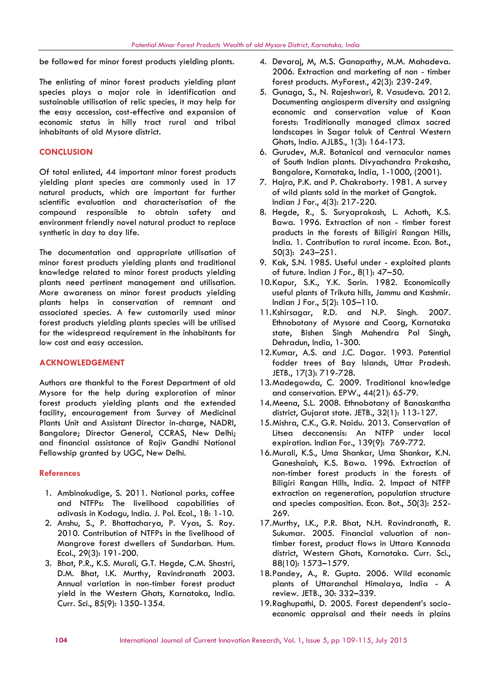be followed for minor forest products yielding plants.

The enlisting of minor forest products yielding plant species plays a major role in identification and sustainable utilisation of relic species, it may help for the easy accession, cost-effective and expansion of economic status in hilly tract rural and tribal inhabitants of old Mysore district.

## **CONCLUSION**

Of total enlisted, 44 important minor forest products yielding plant species are commonly used in 17 natural products, which are important for further scientific evaluation and characterisation of the compound responsible to obtain safety and environment friendly novel natural product to replace synthetic in day to day life.

The documentation and appropriate utilisation of minor forest products yielding plants and traditional knowledge related to minor forest products yielding plants need pertinent management and utilisation. More awareness on minor forest products yielding plants helps in conservation of remnant and associated species. A few customarily used minor forest products yielding plants species will be utilised for the widespread requirement in the inhabitants for low cost and easy accession.

### **ACKNOWLEDGEMENT**

Authors are thankful to the Forest Department of old Mysore for the help during exploration of minor forest products yielding plants and the extended facility, encouragement from Survey of Medicinal Plants Unit and Assistant Director in-charge, NADRI, Bangalore; Director General, CCRAS, New Delhi; and financial assistance of Rajiv Gandhi National Fellowship granted by UGC, New Delhi.

### **References**

- 1. Ambinakudige, S. 2011. National parks, coffee and NTFPs: The livelihood capabilities of adivasis in Kodagu, India. J. Pol. Ecol., 18: 1-10.
- 2. Anshu, S., P. Bhattacharya, P. Vyas, S. Roy. 2010. Contribution of NTFPs in the livelihood of Mangrove forest dwellers of Sundarban. Hum. Ecol., 29(3): 191-200.
- 3. Bhat, P.R., K.S. Murali, G.T. Hegde, C.M. Shastri, D.M. Bhat, I.K. Murthy, Ravindranath 2003. Annual variation in non-timber forest product yield in the Western Ghats, Karnataka, India. Curr. Sci., 85(9): 1350-1354.
- 4. Devaraj, M, M.S. Ganapathy, M.M. Mahadeva. 2006. Extraction and marketing of non - timber forest products. MyForest., 42(3): 239-249.
- 5. Gunaga, S., N. Rajeshwari, R. Vasudeva. 2012. Documenting angiosperm diversity and assigning economic and conservation value of Kaan forests: Traditionally managed climax sacred landscapes in Sagar taluk of Central Western Ghats, India. AJLBS., 1(3): 164-173.
- 6. Gurudev, M.R. Botanical and vernacular names of South Indian plants. Divyachandra Prakasha, Bangalore, Karnataka, India, 1-1000, (2001).
- 7. Hajra, P.K. and P. Chakraborty. 1981. A survey of wild plants sold in the market of Gangtok. Indian J For., 4(3): 217-220.
- 8. Hegde, R., S. Suryaprakash, L. Achoth, K.S. Bawa. 1996. Extraction of non - timber forest products in the forests of Biligiri Rangan Hills, India. 1. Contribution to rural income. Econ. Bot., 50(3): 243–251.
- 9. Kak, S.N. 1985. Useful under exploited plants of future. Indian J For., 8(1): 47–50.
- 10.Kapur, S.K., Y.K. Sarin. 1982. Economically useful plants of Trikuta hills, Jammu and Kashmir. Indian J For., 5(2): 105–110.
- 11.Kshirsagar, R.D. and N.P. Singh. 2007. Ethnobotany of Mysore and Coorg, Karnataka state, Bishen Singh Mahendra Pal Singh, Dehradun, India, 1-300.
- 12.Kumar, A.S. and J.C. Dagar. 1993. Potential fodder trees of Bay Islands, Uttar Pradesh. JETB., 17(3): 719-728.
- 13.Madegowda, C. 2009. Traditional knowledge and conservation. EPW., 44(21): 65-79.
- 14.Meena, S.L. 2008. Ethnobotany of Banaskantha district, Gujarat state. JETB., 32(1): 113-127.
- 15.Mishra, C.K., G.R. Naidu. 2013. Conservation of Litsea deccanensis: An NTFP under local expiration. Indian For., 139(9): 769-772.
- 16.Murali, K.S., Uma Shankar, Uma Shankar, K.N. Ganeshaiah, K.S. Bawa. 1996. Extraction of non-timber forest products in the forests of Biligiri Rangan Hills, India. 2. Impact of NTFP extraction on regeneration, population structure and species composition. Econ. Bot., 50(3): 252- 269.
- 17.Murthy, I.K., P.R. Bhat, N.H. Ravindranath, R. Sukumar. 2005. Financial valuation of nontimber forest, product flows in Uttara Kannada district, Western Ghats, Karnataka. Curr. Sci., 88(10): 1573–1579.
- 18.Pandey, A., R. Gupta. 2006. Wild economic plants of Uttaranchal Himalaya, India - A review. JETB., 30: 332–339.
- 19.Raghupathi, D. 2005. Forest dependent's socio economic appraisal and their needs in plains